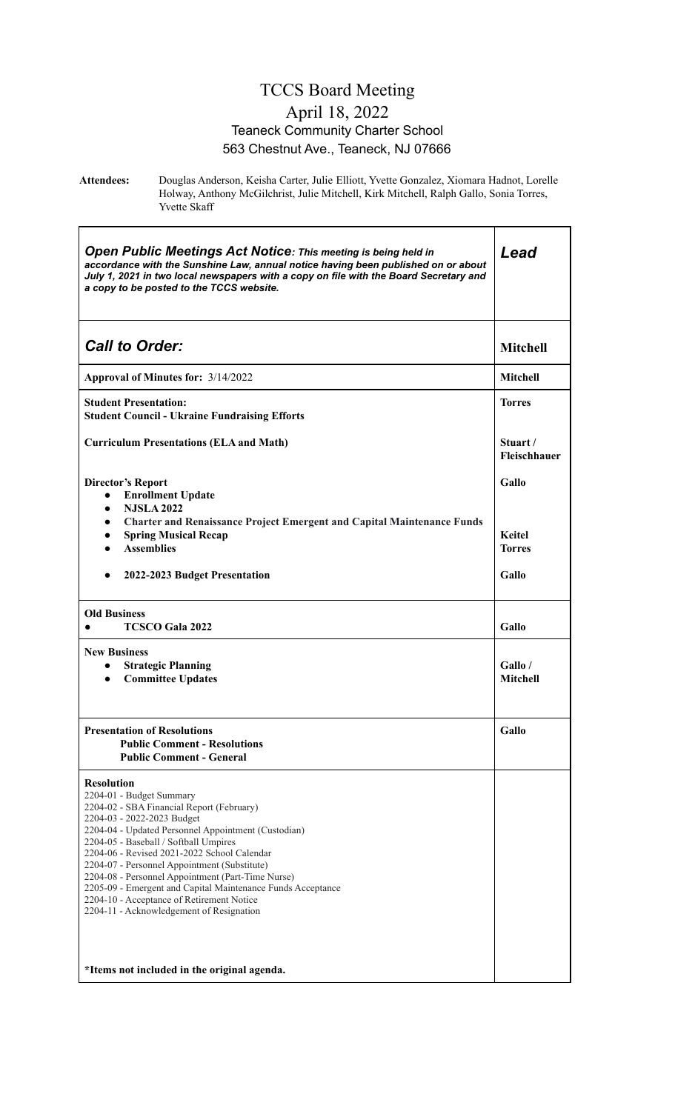#### TCCS Board Meeting April 18, 2022 Teaneck Community Charter School 563 Chestnut Ave., Teaneck, NJ 07666

h

**Attendees:** Douglas Anderson, Keisha Carter, Julie Elliott, Yvette Gonzalez, Xiomara Hadnot, Lorelle Holway, Anthony McGilchrist, Julie Mitchell, Kirk Mitchell, Ralph Gallo, Sonia Torres, Yvette Skaff

| <b>Open Public Meetings Act Notice: This meeting is being held in</b><br>accordance with the Sunshine Law, annual notice having been published on or about<br>July 1, 2021 in two local newspapers with a copy on file with the Board Secretary and<br>a copy to be posted to the TCCS website.                                                                                                                                                                                                                                                                                     | Lead                           |
|-------------------------------------------------------------------------------------------------------------------------------------------------------------------------------------------------------------------------------------------------------------------------------------------------------------------------------------------------------------------------------------------------------------------------------------------------------------------------------------------------------------------------------------------------------------------------------------|--------------------------------|
| <b>Call to Order:</b>                                                                                                                                                                                                                                                                                                                                                                                                                                                                                                                                                               | <b>Mitchell</b>                |
| Approval of Minutes for: 3/14/2022                                                                                                                                                                                                                                                                                                                                                                                                                                                                                                                                                  | <b>Mitchell</b>                |
| <b>Student Presentation:</b><br><b>Student Council - Ukraine Fundraising Efforts</b>                                                                                                                                                                                                                                                                                                                                                                                                                                                                                                | <b>Torres</b>                  |
| <b>Curriculum Presentations (ELA and Math)</b>                                                                                                                                                                                                                                                                                                                                                                                                                                                                                                                                      | Stuart /<br>Fleischhauer       |
| <b>Director's Report</b><br><b>Enrollment Update</b><br>$\bullet$                                                                                                                                                                                                                                                                                                                                                                                                                                                                                                                   | Gallo                          |
| <b>NJSLA 2022</b><br>$\bullet$<br><b>Charter and Renaissance Project Emergent and Capital Maintenance Funds</b><br>$\bullet$<br><b>Spring Musical Recap</b><br>$\bullet$<br><b>Assemblies</b>                                                                                                                                                                                                                                                                                                                                                                                       | <b>Keitel</b><br><b>Torres</b> |
| 2022-2023 Budget Presentation<br>$\bullet$                                                                                                                                                                                                                                                                                                                                                                                                                                                                                                                                          | Gallo                          |
| <b>Old Business</b><br><b>TCSCO Gala 2022</b><br>$\bullet$                                                                                                                                                                                                                                                                                                                                                                                                                                                                                                                          | Gallo                          |
| <b>New Business</b><br><b>Strategic Planning</b><br>$\bullet$<br><b>Committee Updates</b><br>$\bullet$                                                                                                                                                                                                                                                                                                                                                                                                                                                                              | Gallo /<br>Mitchell            |
| <b>Presentation of Resolutions</b><br><b>Public Comment - Resolutions</b><br><b>Public Comment - General</b>                                                                                                                                                                                                                                                                                                                                                                                                                                                                        | Gallo                          |
| <b>Resolution</b><br>2204-01 - Budget Summary<br>2204-02 - SBA Financial Report (February)<br>2204-03 - 2022-2023 Budget<br>2204-04 - Updated Personnel Appointment (Custodian)<br>2204-05 - Baseball / Softball Umpires<br>2204-06 - Revised 2021-2022 School Calendar<br>2204-07 - Personnel Appointment (Substitute)<br>2204-08 - Personnel Appointment (Part-Time Nurse)<br>2205-09 - Emergent and Capital Maintenance Funds Acceptance<br>2204-10 - Acceptance of Retirement Notice<br>2204-11 - Acknowledgement of Resignation<br>*Items not included in the original agenda. |                                |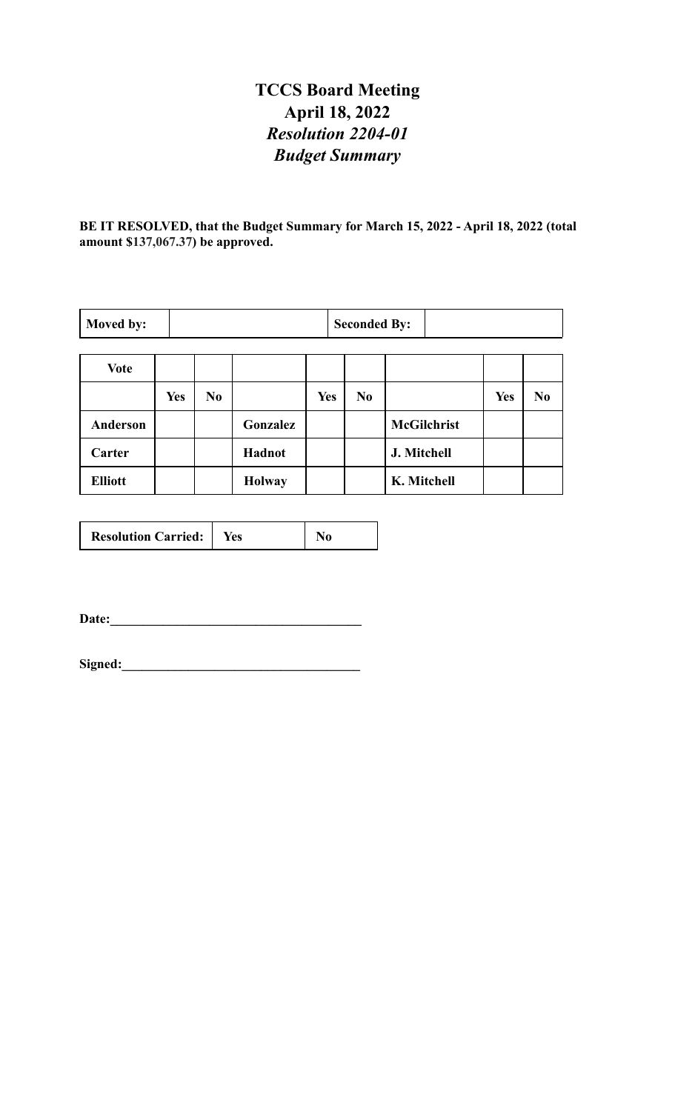# **TCCS Board Meeting April 18, 2022** *Resolution 2204-01 Budget Summary*

**BE IT RESOLVED, that the Budget Summary for March 15, 2022 - April 18, 2022 (total amount \$137,067.37) be approved.**

| Moved by:      |            | <b>Seconded By:</b> |               |            |                |                    |            |                |
|----------------|------------|---------------------|---------------|------------|----------------|--------------------|------------|----------------|
| <b>Vote</b>    |            |                     |               |            |                |                    |            |                |
|                | <b>Yes</b> | N <sub>0</sub>      |               | <b>Yes</b> | N <sub>0</sub> |                    | <b>Yes</b> | N <sub>0</sub> |
| Anderson       |            |                     | Gonzalez      |            |                | <b>McGilchrist</b> |            |                |
| Carter         |            |                     | Hadnot        |            |                | J. Mitchell        |            |                |
| <b>Elliott</b> |            |                     | <b>Holway</b> |            |                | K. Mitchell        |            |                |

| <b>Resolution Carried:</b> | tes |  |
|----------------------------|-----|--|
|----------------------------|-----|--|

**Date:\_\_\_\_\_\_\_\_\_\_\_\_\_\_\_\_\_\_\_\_\_\_\_\_\_\_\_\_\_\_\_\_\_\_\_\_\_\_**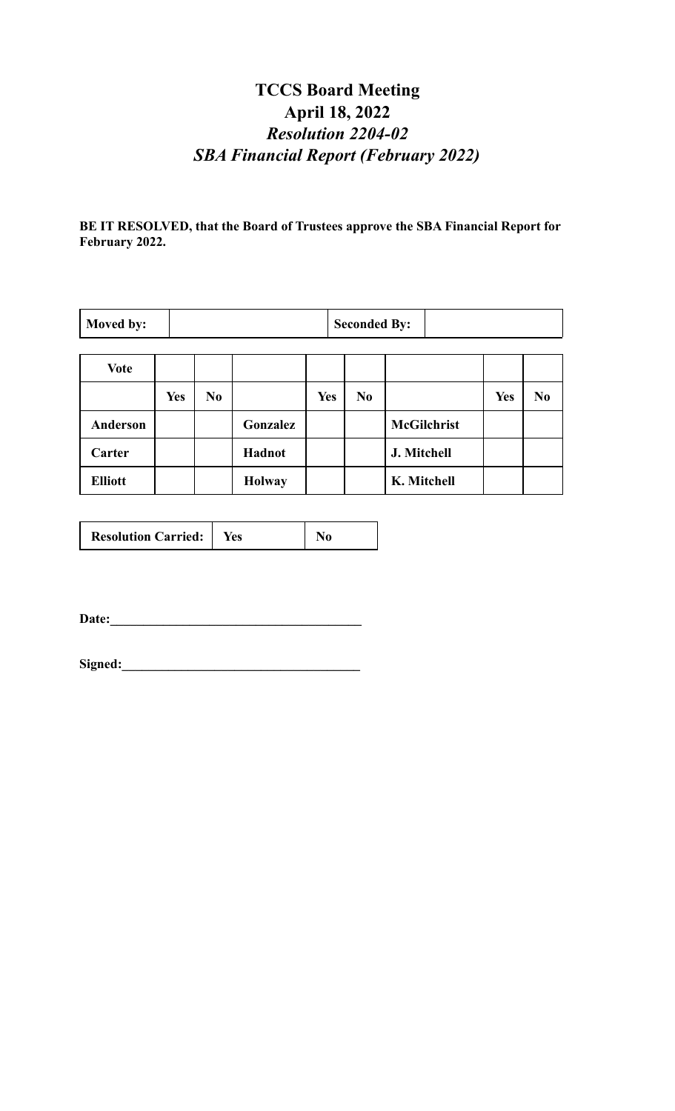# **TCCS Board Meeting April 18, 2022** *Resolution 2204-02 SBA Financial Report (February 2022)*

**BE IT RESOLVED, that the Board of Trustees approve the SBA Financial Report for February 2022.**

| Moved by:      |            | <b>Seconded By:</b> |               |     |                |                    |            |                |
|----------------|------------|---------------------|---------------|-----|----------------|--------------------|------------|----------------|
| <b>Vote</b>    |            |                     |               |     |                |                    |            |                |
|                | <b>Yes</b> | No.                 |               | Yes | N <sub>0</sub> |                    | <b>Yes</b> | N <sub>0</sub> |
| Anderson       |            |                     | Gonzalez      |     |                | <b>McGilchrist</b> |            |                |
| Carter         |            |                     | Hadnot        |     |                | J. Mitchell        |            |                |
| <b>Elliott</b> |            |                     | <b>Holway</b> |     |                | K. Mitchell        |            |                |

| <b>Resolution Carried:</b> | tes |  |
|----------------------------|-----|--|
|----------------------------|-----|--|

**Date:\_\_\_\_\_\_\_\_\_\_\_\_\_\_\_\_\_\_\_\_\_\_\_\_\_\_\_\_\_\_\_\_\_\_\_\_\_\_**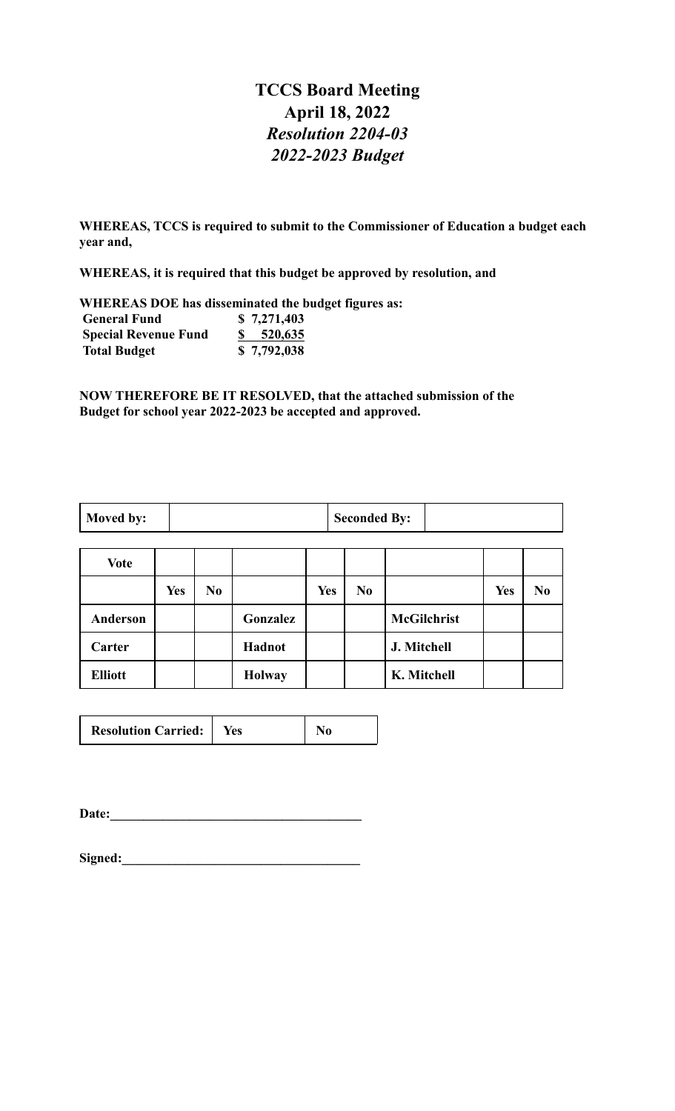### **TCCS Board Meeting April 18, 2022** *Resolution 2204-03 2022-2023 Budget*

**WHEREAS, TCCS is required to submit to the Commissioner of Education a budget each year and,**

**WHEREAS, it is required that this budget be approved by resolution, and**

**WHEREAS DOE has disseminated the budget figures as: General Fund \$ 7,271,403**<br>**Special Revenue Fund \$ 520,635 Special Revenue Fund Total Budget \$ 7,792,038**

**NOW THEREFORE BE IT RESOLVED, that the attached submission of the Budget for school year 2022-2023 be accepted and approved.**

| Moved by:<br><b>Seconded By:</b> |  |  |  |  |
|----------------------------------|--|--|--|--|
|----------------------------------|--|--|--|--|

| Vote           |            |                |               |            |                |                    |            |                |
|----------------|------------|----------------|---------------|------------|----------------|--------------------|------------|----------------|
|                | <b>Yes</b> | N <sub>0</sub> |               | <b>Yes</b> | N <sub>0</sub> |                    | <b>Yes</b> | N <sub>0</sub> |
| Anderson       |            |                | Gonzalez      |            |                | <b>McGilchrist</b> |            |                |
| Carter         |            |                | Hadnot        |            |                | J. Mitchell        |            |                |
| <b>Elliott</b> |            |                | <b>Holway</b> |            |                | K. Mitchell        |            |                |

| <b>Resolution Carried:</b> | res |  |
|----------------------------|-----|--|
|                            |     |  |

Date:

| Signed: |  |
|---------|--|
|         |  |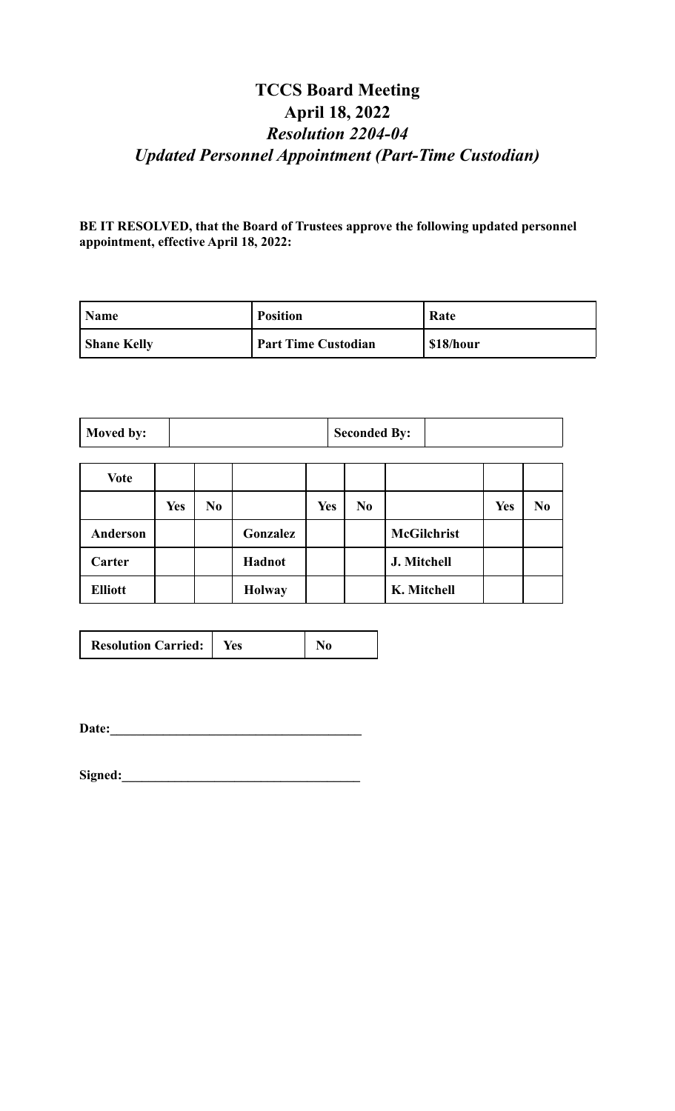# **TCCS Board Meeting April 18, 2022** *Resolution 2204-04 Updated Personnel Appointment (Part-Time Custodian)*

**BE IT RESOLVED, that the Board of Trustees approve the following updated personnel appointment, effective April 18, 2022:**

| <b>Name</b>        | <b>Position</b>            | Rate      |
|--------------------|----------------------------|-----------|
| <b>Shane Kelly</b> | <b>Part Time Custodian</b> | \$18/hour |

| Moved by: | <b>Seconded By:</b> |  |
|-----------|---------------------|--|
|-----------|---------------------|--|

| <b>Vote</b>    |            |                |               |            |                |                    |            |                |
|----------------|------------|----------------|---------------|------------|----------------|--------------------|------------|----------------|
|                | <b>Yes</b> | N <sub>0</sub> |               | <b>Yes</b> | N <sub>0</sub> |                    | <b>Yes</b> | N <sub>0</sub> |
| Anderson       |            |                | Gonzalez      |            |                | <b>McGilchrist</b> |            |                |
| Carter         |            |                | Hadnot        |            |                | J. Mitchell        |            |                |
| <b>Elliott</b> |            |                | <b>Holway</b> |            |                | K. Mitchell        |            |                |

**Date:\_\_\_\_\_\_\_\_\_\_\_\_\_\_\_\_\_\_\_\_\_\_\_\_\_\_\_\_\_\_\_\_\_\_\_\_\_\_**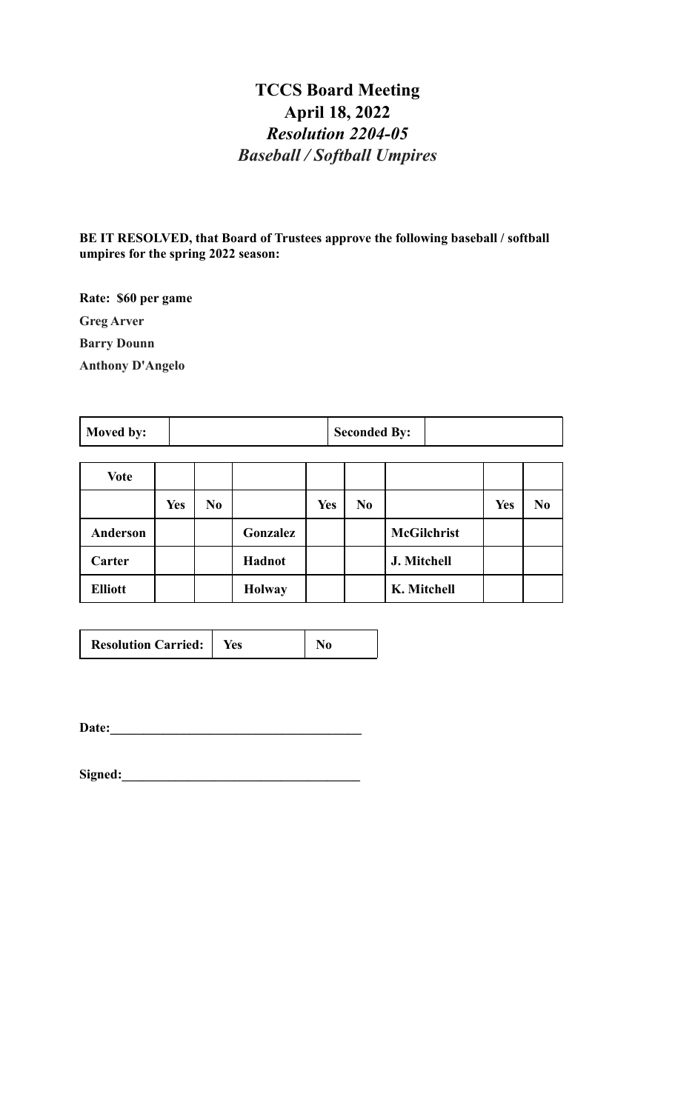# **TCCS Board Meeting April 18, 2022** *Resolution 2204-05 Baseball / Softball Umpires*

**BE IT RESOLVED, that Board of Trustees approve the following baseball / softball umpires for the spring 2022 season:**

**Rate: \$60 per game Greg Arver Barry Dounn Anthony D'Angelo**

**Moved by:**  $\begin{array}{|c|c|c|c|} \hline \textbf{Seconded By:} \end{array}$ 

| <b>Vote</b>     |            |                |               |            |                |                    |            |                |
|-----------------|------------|----------------|---------------|------------|----------------|--------------------|------------|----------------|
|                 | <b>Yes</b> | N <sub>0</sub> |               | <b>Yes</b> | N <sub>0</sub> |                    | <b>Yes</b> | N <sub>0</sub> |
| <b>Anderson</b> |            |                | Gonzalez      |            |                | <b>McGilchrist</b> |            |                |
| Carter          |            |                | Hadnot        |            |                | J. Mitchell        |            |                |
| <b>Elliott</b>  |            |                | <b>Holway</b> |            |                | K. Mitchell        |            |                |

| <b>Resolution Carried:</b> |  |  |
|----------------------------|--|--|
|----------------------------|--|--|

**Date:\_\_\_\_\_\_\_\_\_\_\_\_\_\_\_\_\_\_\_\_\_\_\_\_\_\_\_\_\_\_\_\_\_\_\_\_\_\_**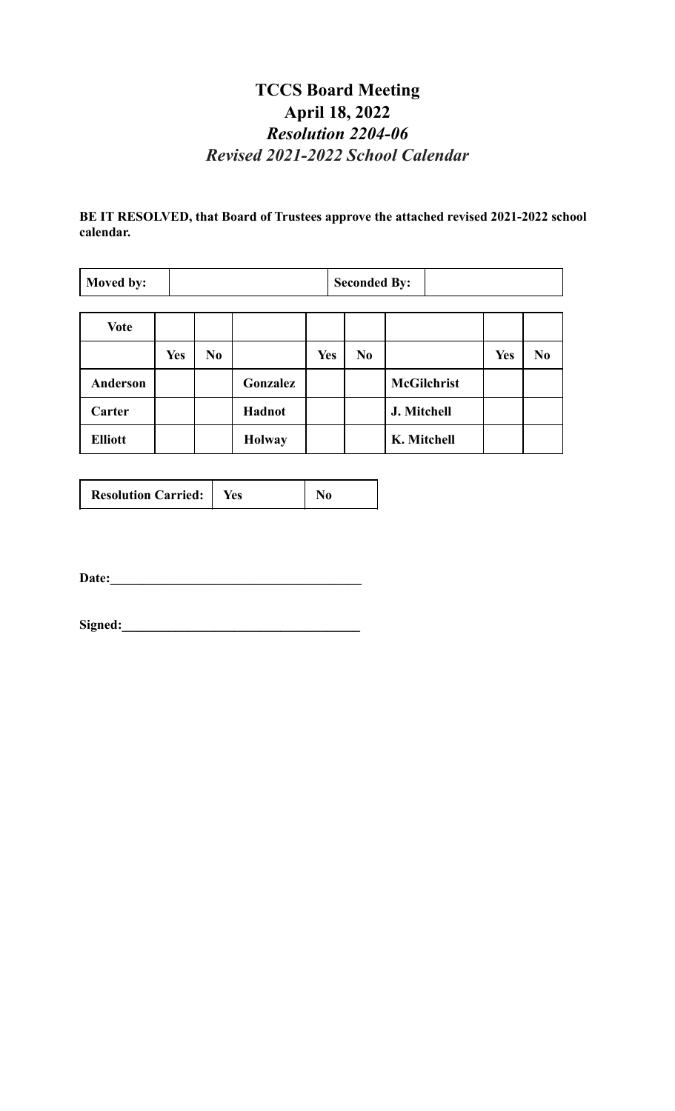# **TCCS Board Meeting April 18, 2022** *Resolution 2204-06 Revised 2021-2022 School Calendar*

**BE IT RESOLVED, that Board of Trustees approve the attached revised 2021-2022 school calendar.**

| Moved by:       |            |                |               |            | <b>Seconded By:</b> |                    |            |                |  |  |
|-----------------|------------|----------------|---------------|------------|---------------------|--------------------|------------|----------------|--|--|
| <b>Vote</b>     |            |                |               |            |                     |                    |            |                |  |  |
|                 | <b>Yes</b> | N <sub>0</sub> |               | <b>Yes</b> | N <sub>0</sub>      |                    | <b>Yes</b> | N <sub>0</sub> |  |  |
| <b>Anderson</b> |            |                | Gonzalez      |            |                     | <b>McGilchrist</b> |            |                |  |  |
| Carter          |            |                | Hadnot        |            |                     | J. Mitchell        |            |                |  |  |
| <b>Elliott</b>  |            |                | <b>Holway</b> |            |                     | K. Mitchell        |            |                |  |  |

| <b>Resolution Carried:</b> | Yes |  |
|----------------------------|-----|--|
|----------------------------|-----|--|

**Date:\_\_\_\_\_\_\_\_\_\_\_\_\_\_\_\_\_\_\_\_\_\_\_\_\_\_\_\_\_\_\_\_\_\_\_\_\_\_**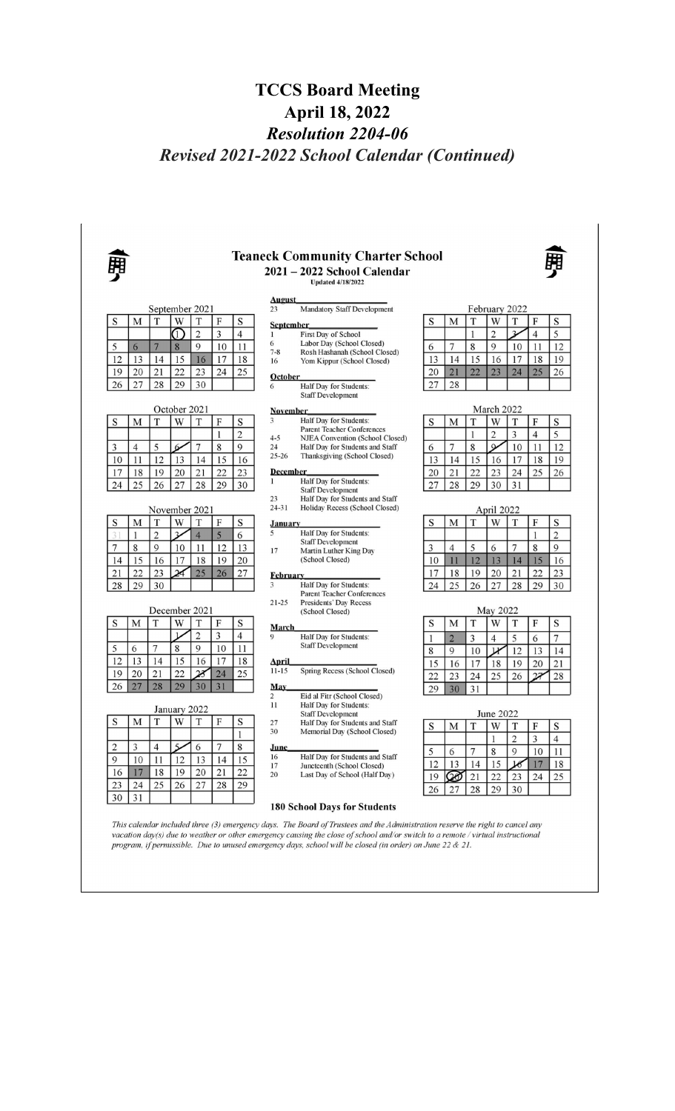# **TCCS Board Meeting April 18, 2022** *Resolution 2204-06 Revised 2021-2022 School Calendar (Continued)*

|                  |                | September 2021      |                              |                               |          |                     | <b>August</b><br>23   | <b>Mandatory Staff Development</b>                                                                                                                                                                                                                                                                                                                                                                                  |          |                |                   | February 2022       |                |                     |                 |
|------------------|----------------|---------------------|------------------------------|-------------------------------|----------|---------------------|-----------------------|---------------------------------------------------------------------------------------------------------------------------------------------------------------------------------------------------------------------------------------------------------------------------------------------------------------------------------------------------------------------------------------------------------------------|----------|----------------|-------------------|---------------------|----------------|---------------------|-----------------|
| S                | М              | T                   | W                            | T                             | F        | S                   |                       |                                                                                                                                                                                                                                                                                                                                                                                                                     | S        | M              | T                 | W                   | T              | F                   | S               |
|                  |                |                     | ⋔                            | $\overline{2}$                | 3        | $\overline{4}$      | <b>September</b><br>1 | First Day of School                                                                                                                                                                                                                                                                                                                                                                                                 |          |                | $\mathbf{1}$      | $\overline{2}$      | $\overline{v}$ | $\overline{4}$      | 5               |
| 5                | 6              | 7                   | 8                            | 9                             | 10       | 11                  | 6                     | Labor Day (School Closed)                                                                                                                                                                                                                                                                                                                                                                                           | 6        | $\overline{7}$ | 8                 | 9                   | 10             | 11                  | 12              |
| 12               | 13             | 14                  | 15                           | 16                            | 17       | 18                  | $7 - 8$<br>16         | Rosh Hashanah (School Closed)<br>Yom Kippur (School Closed)                                                                                                                                                                                                                                                                                                                                                         | 13       | 14             | 15                | 16                  | 17             | 18                  | 19              |
| 19               | 20             | 21                  | 22                           | 23                            | 24       | 25                  | October               |                                                                                                                                                                                                                                                                                                                                                                                                                     | 20       | 21             | 22                | 23                  | 24             | 25                  | 26              |
| 26               | 27             | 28                  | 29                           | 30                            |          |                     | 6                     | Half Day for Students:                                                                                                                                                                                                                                                                                                                                                                                              | 27       | 28             |                   |                     |                |                     |                 |
|                  |                |                     |                              |                               |          |                     |                       | <b>Staff Development</b>                                                                                                                                                                                                                                                                                                                                                                                            |          |                |                   |                     |                |                     |                 |
|                  |                |                     | October 2021                 |                               |          |                     | <b>November</b><br>3  | Half Day for Students:                                                                                                                                                                                                                                                                                                                                                                                              |          |                |                   | March 2022          |                |                     |                 |
| S                | M              | T                   | W                            | T                             | F<br>1   | S<br>$\overline{2}$ |                       | <b>Parent Teacher Conferences</b>                                                                                                                                                                                                                                                                                                                                                                                   | S        | М              | T<br>$\mathbf{1}$ | W<br>$\overline{2}$ | T<br>3         | F<br>$\overline{4}$ | S<br>5          |
| 3                | $\overline{4}$ | 5                   | 6                            | $\overline{7}$                | 8        | $\mathbf Q$         | $4 - 5$<br>24         | NJEA Convention (School Closed)<br>Half Day for Students and Staff                                                                                                                                                                                                                                                                                                                                                  | 6        | 7              | 8                 | $\alpha$            | 10             | 11                  | 12              |
| 10               | 11             | 12                  | 13                           | 14                            | 15       | 16                  | $25 - 26$             | Thanksgiving (School Closed)                                                                                                                                                                                                                                                                                                                                                                                        | 13       | 14             | 15                | 16                  | 17             | 18                  | 19              |
| 17               | 18             | 19                  | 20                           | 21                            | 22       | 23                  | <b>December</b>       |                                                                                                                                                                                                                                                                                                                                                                                                                     | 20       | 21             | 22                | 23                  | 24             | 25                  | 26              |
| 24               | 25             | 26                  | 27                           | 28                            | 29       | 30                  | 1                     | Half Day for Students:                                                                                                                                                                                                                                                                                                                                                                                              | 27       | 28             | 29                | 30                  | 31             |                     |                 |
|                  |                |                     |                              |                               |          |                     | 23                    | <b>Staff Development</b><br>Half Day for Students and Staff                                                                                                                                                                                                                                                                                                                                                         |          |                |                   |                     |                |                     |                 |
|                  |                | November 2021       |                              |                               |          |                     | $24 - 31$             | Holiday Recess (School Closed)                                                                                                                                                                                                                                                                                                                                                                                      |          |                |                   | April 2022          |                |                     |                 |
| S<br>$3^{\circ}$ | M<br>1         | T                   | W<br>$\overline{\mathbf{3}}$ | T                             | F        | S                   | <b>January</b><br>5   | <b>Half Day for Students:</b>                                                                                                                                                                                                                                                                                                                                                                                       | S        | М              | T                 | W                   | T              | F<br>1              | S               |
| 7                | 8              | $\overline{2}$<br>9 | 10                           | $\overline{4}$                | 5<br>12  | 6<br>13             |                       | <b>Staff Development</b>                                                                                                                                                                                                                                                                                                                                                                                            | 3        | $\overline{4}$ | 5                 | 6                   | 7              | 8                   | $\sqrt{2}$<br>9 |
| 14               | 15             | 16                  | 17                           | 11<br>18                      | 19       | 20                  | 17                    | Martin Luther King Day<br>(School Closed)                                                                                                                                                                                                                                                                                                                                                                           | 10       | 11             | 12                | 13                  | 14             | 15                  | 16              |
| 21               | 22             | 23                  | $\overline{\mathcal{A}}$     | 25                            | 26       | 27                  |                       |                                                                                                                                                                                                                                                                                                                                                                                                                     | 17       | 18             | 19                | 20                  | 21             | 22                  | 23              |
| 28               | 29             | 30                  |                              |                               |          |                     | <b>February</b><br>3  | <b>Half Day for Students:</b>                                                                                                                                                                                                                                                                                                                                                                                       | 24       | 25             | 26                | 27                  | 28             | 29                  | 30              |
|                  |                |                     |                              |                               |          |                     | $21 - 25$             | <b>Parent Teacher Conferences</b><br>Presidents' Day Recess                                                                                                                                                                                                                                                                                                                                                         |          |                |                   |                     |                |                     |                 |
|                  |                | December 2021       |                              |                               |          |                     |                       | (School Closed)                                                                                                                                                                                                                                                                                                                                                                                                     |          |                |                   | May 2022            |                |                     |                 |
| S                | M              | T                   | W                            | T                             | F        | S                   | <b>March</b>          |                                                                                                                                                                                                                                                                                                                                                                                                                     | S        | M              | T                 | W                   | T              | ${\bf F}$           | S               |
|                  |                |                     | $\mathbf{1}$                 | $\overline{2}$<br>$\mathbf Q$ | 3        | $\overline{4}$      | 9                     | Half Day for Students:<br><b>Staff Development</b>                                                                                                                                                                                                                                                                                                                                                                  | 1        | $\overline{2}$ | 3                 | $\overline{4}$      | 5              | 6                   | 7               |
| 5<br>12          | 6<br>13        | 7<br>14             | 8<br>15                      | 16                            | 10<br>17 | 11<br>18            |                       |                                                                                                                                                                                                                                                                                                                                                                                                                     | 8        | 9              | 10                | $\mathcal{V}$       | 12             | 13                  | 14              |
| 19               | 20             | 21                  | 22                           | 23                            | 24       | 25                  | April<br>$11 - 15$    | Spring Recess (School Closed)                                                                                                                                                                                                                                                                                                                                                                                       | 15       | 16             | 17                | 18                  | 19             | 20                  | 21              |
| 26               | 27             | 28                  | 29                           | 30                            | 31       |                     | <b>May</b>            |                                                                                                                                                                                                                                                                                                                                                                                                                     | 22<br>29 | 23<br>30       | 24<br>31          | 25                  | 26             | 27                  | 28              |
|                  |                |                     |                              |                               |          |                     | $\overline{2}$        | Eid al Fitr (School Closed)                                                                                                                                                                                                                                                                                                                                                                                         |          |                |                   |                     |                |                     |                 |
|                  |                |                     | January 2022                 |                               |          |                     | 11                    | Half Day for Students:<br><b>Staff Development</b>                                                                                                                                                                                                                                                                                                                                                                  |          |                |                   | <b>June 2022</b>    |                |                     |                 |
| S                | M              | T                   | W                            | Т                             | F        | S                   | 27<br>30              | Half Day for Students and Staff                                                                                                                                                                                                                                                                                                                                                                                     | S        | M              | T                 | W                   | T              | F                   | S               |
|                  |                |                     |                              |                               |          | 1                   |                       | Memorial Day (School Closed)                                                                                                                                                                                                                                                                                                                                                                                        |          |                |                   | 1                   | $\overline{c}$ | 3                   | $\overline{4}$  |
| $\overline{2}$   | 3              | 4                   | $\mathsf{S}$                 | 6                             | 7        | 8                   | June<br>16            | Half Day for Students and Staff                                                                                                                                                                                                                                                                                                                                                                                     | 5        | 6              | 7                 | 8                   | 9              | 10                  | 11              |
| 9                | 10             | 11                  | 12                           | 13                            | 14       | 15                  | 17                    | Juneteenth (School Closed)                                                                                                                                                                                                                                                                                                                                                                                          | 12       | 13             | 14                | 15                  | 16             | 17                  | 18              |
| 16<br>23         | 17<br>24       | 18<br>25            | 19<br>26                     | 20<br>27                      | 21<br>28 | 22<br>29            | 20                    | Last Day of School (Half Day)                                                                                                                                                                                                                                                                                                                                                                                       | 19       | Ø              | 21                | 22                  | 23             | 24                  | 25              |
| 30               | 31             |                     |                              |                               |          |                     |                       |                                                                                                                                                                                                                                                                                                                                                                                                                     | 26       | 27             | 28                | 29                  | 30             |                     |                 |
|                  |                |                     |                              |                               |          |                     |                       | <b>180 School Days for Students</b><br>This calendar included three (3) emergency days. The Board of Trustees and the Administration reserve the right to cancel any<br>vacation day(s) due to weather or other emergency causing the close of school and/or switch to a remote / virtual instructional<br>program, if permissible. Due to unused emergency days, school will be closed (in order) on June 22 & 21. |          |                |                   |                     |                |                     |                 |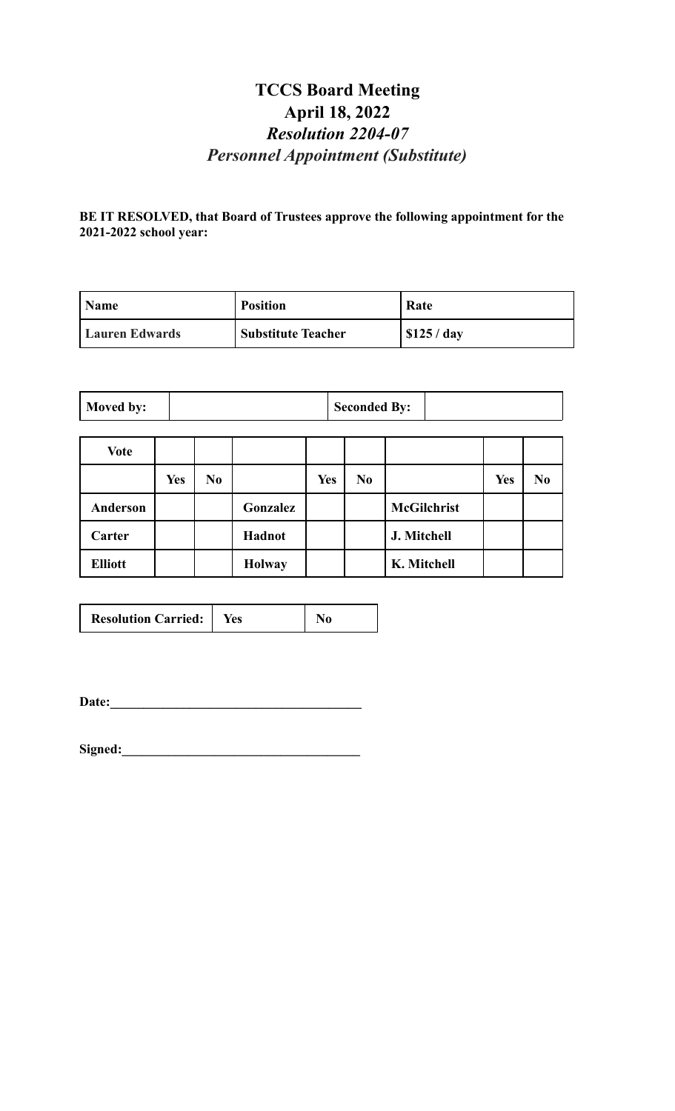# **TCCS Board Meeting April 18, 2022** *Resolution 2204-07 Personnel Appointment (Substitute)*

**BE IT RESOLVED, that Board of Trustees approve the following appointment for the 2021-2022 school year:**

| <b>Name</b>           | <b>Position</b>           | Rate        |
|-----------------------|---------------------------|-------------|
| <b>Lauren Edwards</b> | <b>Substitute Teacher</b> | \$125 / day |

| Moved by: |  | <b>Seconded By:</b> |  |
|-----------|--|---------------------|--|
|-----------|--|---------------------|--|

| Vote           |            |                |               |     |                |                    |            |                |
|----------------|------------|----------------|---------------|-----|----------------|--------------------|------------|----------------|
|                | <b>Yes</b> | N <sub>0</sub> |               | Yes | N <sub>0</sub> |                    | <b>Yes</b> | N <sub>0</sub> |
| Anderson       |            |                | Gonzalez      |     |                | <b>McGilchrist</b> |            |                |
| Carter         |            |                | Hadnot        |     |                | J. Mitchell        |            |                |
| <b>Elliott</b> |            |                | <b>Holway</b> |     |                | K. Mitchell        |            |                |

| <b>Resolution Carried:</b> | <b>Yes</b> | No |
|----------------------------|------------|----|
|----------------------------|------------|----|

**Date:\_\_\_\_\_\_\_\_\_\_\_\_\_\_\_\_\_\_\_\_\_\_\_\_\_\_\_\_\_\_\_\_\_\_\_\_\_\_**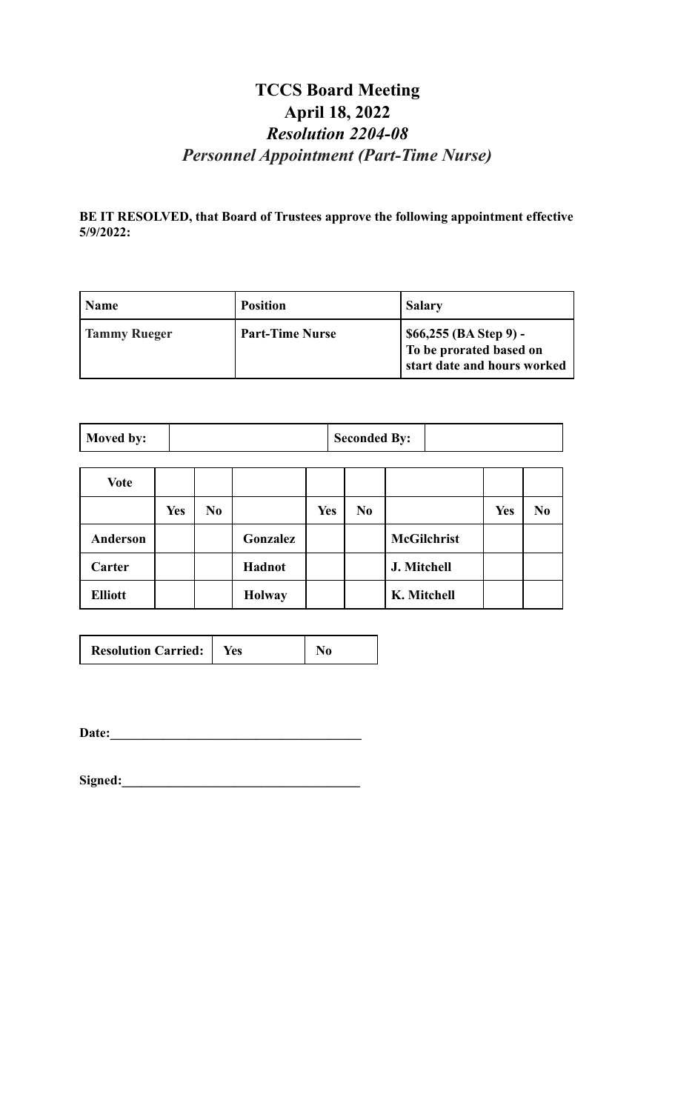# **TCCS Board Meeting April 18, 2022** *Resolution 2204-08 Personnel Appointment (Part-Time Nurse)*

**BE IT RESOLVED, that Board of Trustees approve the following appointment effective 5/9/2022:**

| <b>Name</b>         | <b>Position</b>        | <b>Salary</b>                                                                      |
|---------------------|------------------------|------------------------------------------------------------------------------------|
| <b>Tammy Rueger</b> | <b>Part-Time Nurse</b> | \$66,255 (BA Step 9) -<br>  To be prorated based on<br>start date and hours worked |

| Moved by: | <b>Seconded By:</b> |  |
|-----------|---------------------|--|
|-----------|---------------------|--|

| <b>Vote</b>    |            |                |               |            |     |                    |            |                |
|----------------|------------|----------------|---------------|------------|-----|--------------------|------------|----------------|
|                | <b>Yes</b> | N <sub>0</sub> |               | <b>Yes</b> | No. |                    | <b>Yes</b> | N <sub>0</sub> |
| Anderson       |            |                | Gonzalez      |            |     | <b>McGilchrist</b> |            |                |
| Carter         |            |                | Hadnot        |            |     | J. Mitchell        |            |                |
| <b>Elliott</b> |            |                | <b>Holway</b> |            |     | K. Mitchell        |            |                |

| <b>Resolution Carried:</b> | Yes |  |
|----------------------------|-----|--|
|----------------------------|-----|--|

**Date:\_\_\_\_\_\_\_\_\_\_\_\_\_\_\_\_\_\_\_\_\_\_\_\_\_\_\_\_\_\_\_\_\_\_\_\_\_\_**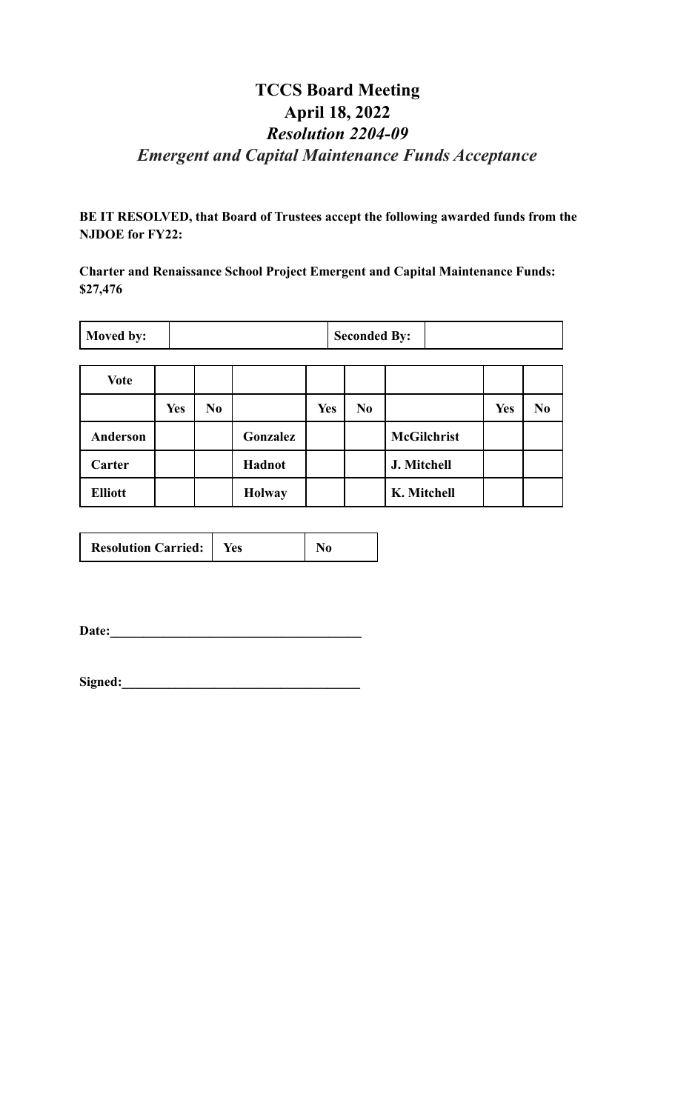# **TCCS Board Meeting April 18, 2022** *Resolution 2204-09 Emergent and Capital Maintenance Funds Acceptance*

**BE IT RESOLVED, that Board of Trustees accept the following awarded funds from the NJDOE for FY22:**

**Charter and Renaissance School Project Emergent and Capital Maintenance Funds: \$27,476**

| <b>Moved by:</b> |            |                |               |            | <b>Seconded By:</b> |                    |            |                |
|------------------|------------|----------------|---------------|------------|---------------------|--------------------|------------|----------------|
| <b>Vote</b>      |            |                |               |            |                     |                    |            |                |
|                  | <b>Yes</b> | N <sub>0</sub> |               | <b>Yes</b> | N <sub>0</sub>      |                    | <b>Yes</b> | N <sub>0</sub> |
| Anderson         |            |                | Gonzalez      |            |                     | <b>McGilchrist</b> |            |                |
| Carter           |            |                | <b>Hadnot</b> |            |                     | J. Mitchell        |            |                |

|  | <b>Resolution Carried:</b> | Yes |  |
|--|----------------------------|-----|--|
|--|----------------------------|-----|--|

**Elliott**  $\begin{array}{|c|c|c|c|c|} \hline \textbf{Holway} & \textbf{Holway} & \textbf{K. Mitchell} \end{array}$ 

Date: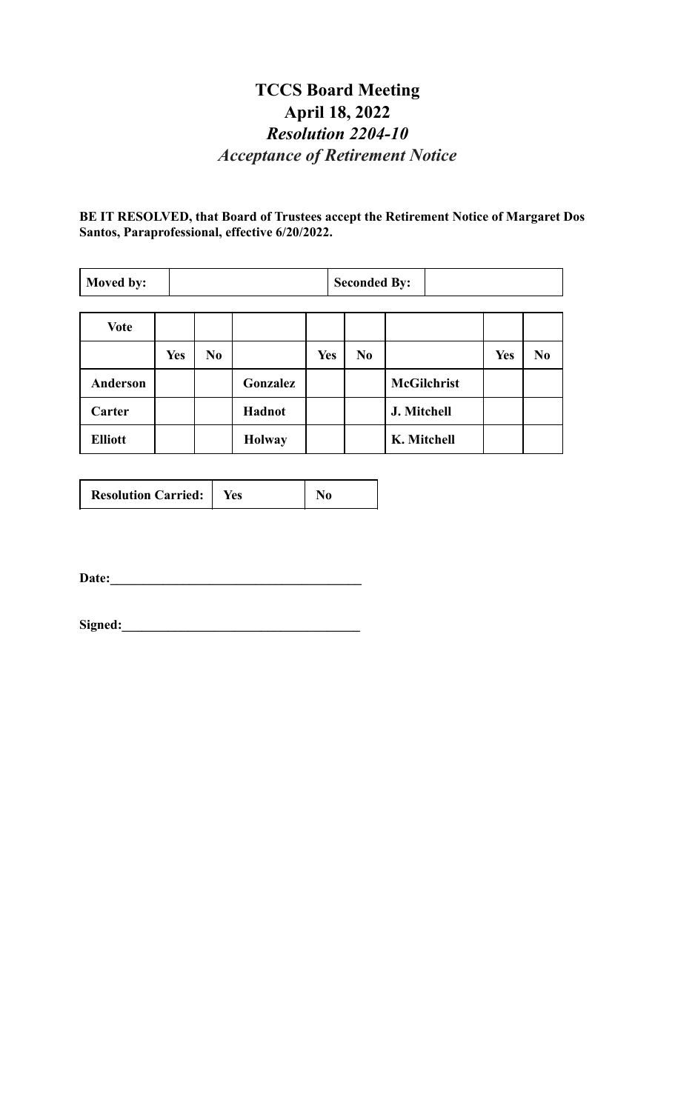# **TCCS Board Meeting April 18, 2022** *Resolution 2204-10 Acceptance of Retirement Notice*

**BE IT RESOLVED, that Board of Trustees accept the Retirement Notice of Margaret Dos Santos, Paraprofessional, effective 6/20/2022.**

| Moved by:       |            |                |               |            | <b>Seconded By:</b> |                    |            |                |
|-----------------|------------|----------------|---------------|------------|---------------------|--------------------|------------|----------------|
| <b>Vote</b>     |            |                |               |            |                     |                    |            |                |
|                 | <b>Yes</b> | N <sub>0</sub> |               | <b>Yes</b> | N <sub>0</sub>      |                    | <b>Yes</b> | N <sub>0</sub> |
| <b>Anderson</b> |            |                | Gonzalez      |            |                     | <b>McGilchrist</b> |            |                |
| Carter          |            |                | Hadnot        |            |                     | J. Mitchell        |            |                |
| <b>Elliott</b>  |            |                | <b>Holway</b> |            |                     | K. Mitchell        |            |                |

| <b>Resolution Carried:</b> | Yes |  |
|----------------------------|-----|--|
|----------------------------|-----|--|

**Date:\_\_\_\_\_\_\_\_\_\_\_\_\_\_\_\_\_\_\_\_\_\_\_\_\_\_\_\_\_\_\_\_\_\_\_\_\_\_**